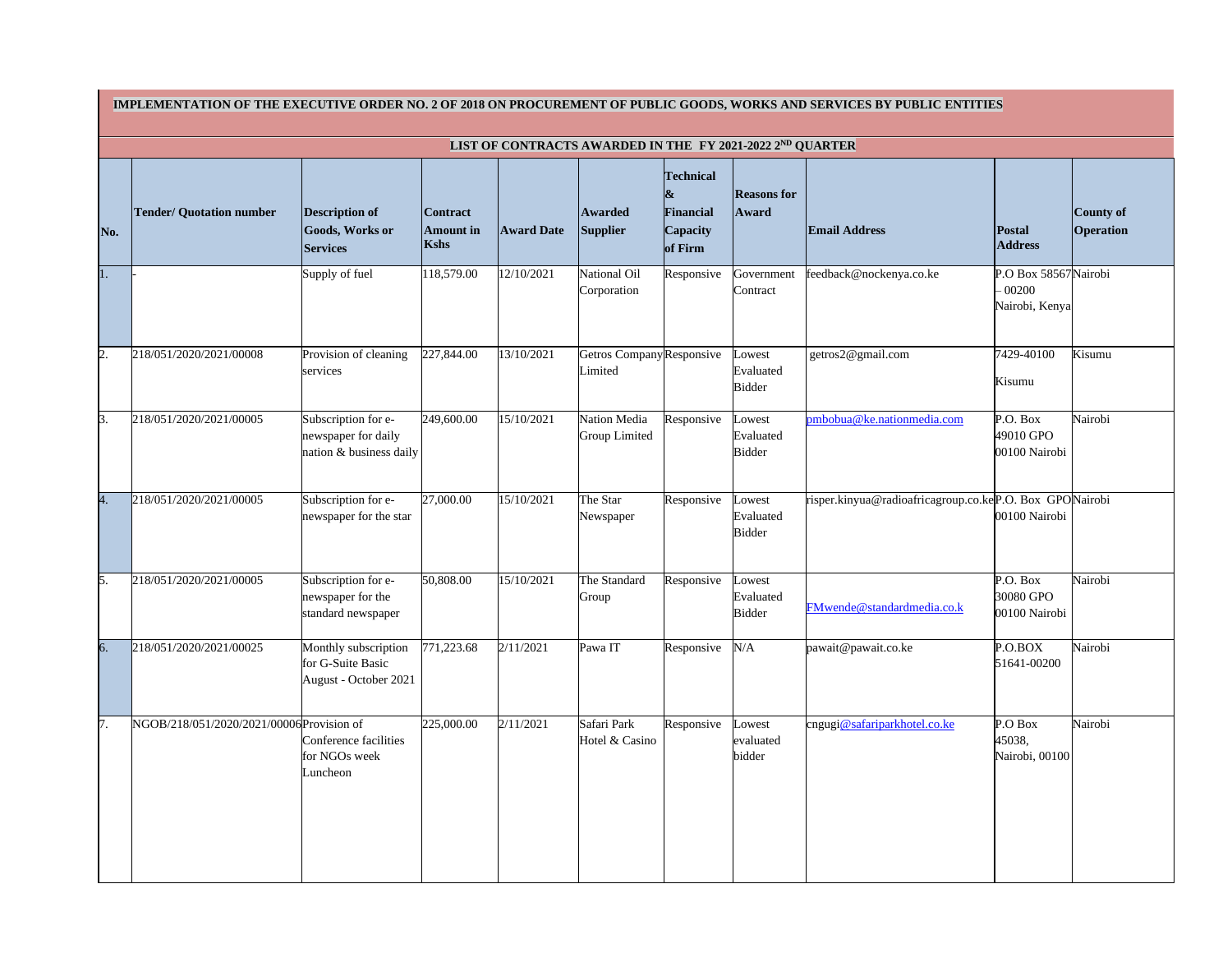|  | IPLEMENTATION OF THE EXECUTIVE ORDER NO. 2 OF 2018 ON PROCUREMENT OF PUBLIC GOODS, WORKS AND SERVICES BY PUBI |  |  |
|--|---------------------------------------------------------------------------------------------------------------|--|--|
|  |                                                                                                               |  |  |
|  |                                                                                                               |  |  |
|  |                                                                                                               |  |  |

|                | IMPLEMENTATION OF THE EXECUTIVE ORDER NO. 2 OF 2018 ON PROCUREMENT OF PUBLIC GOODS, WORKS AND SERVICES BY PUBLIC ENTITIES<br>LIST OF CONTRACTS AWARDED IN THE FY 2021-2022 2ND QUARTER |                                                                       |                                             |                   |                                             |                                                                                      |                                      |                                                         |                                                     |                                      |
|----------------|----------------------------------------------------------------------------------------------------------------------------------------------------------------------------------------|-----------------------------------------------------------------------|---------------------------------------------|-------------------|---------------------------------------------|--------------------------------------------------------------------------------------|--------------------------------------|---------------------------------------------------------|-----------------------------------------------------|--------------------------------------|
|                |                                                                                                                                                                                        |                                                                       |                                             |                   |                                             |                                                                                      |                                      |                                                         |                                                     |                                      |
| No.            | <b>Tender/ Quotation number</b>                                                                                                                                                        | <b>Description of</b><br><b>Goods, Works or</b><br><b>Services</b>    | <b>Contract</b><br><b>Amount</b> in<br>Kshs | <b>Award Date</b> | <b>Awarded</b><br><b>Supplier</b>           | <b>Technical</b><br>$\boldsymbol{\alpha}$<br>Financial<br><b>Capacity</b><br>of Firm | <b>Reasons for</b><br><b>Award</b>   | <b>Email Address</b>                                    | Postal<br><b>Address</b>                            | <b>County of</b><br><b>Operation</b> |
| 1.             |                                                                                                                                                                                        | Supply of fuel                                                        | 118,579.00                                  | 12/10/2021        | <b>National Oil</b><br>Corporation          | Responsive                                                                           | Government<br>Contract               | feedback@nockenya.co.ke                                 | P.O Box 58567 Nairobi<br>$-00200$<br>Nairobi, Kenya |                                      |
| $\mathbf{2}$ . | 218/051/2020/2021/00008                                                                                                                                                                | Provision of cleaning<br>services                                     | 227,844.00                                  | 13/10/2021        | Getros CompanyResponsive<br>Limited         |                                                                                      | Lowest<br>Evaluated<br><b>Bidder</b> | getros2@gmail.com                                       | 7429-40100<br>Kisumu                                | Kisumu                               |
| 3.             | 218/051/2020/2021/00005                                                                                                                                                                | Subscription for e-<br>newspaper for daily<br>nation & business daily | 249,600.00                                  | 15/10/2021        | <b>Nation Media</b><br><b>Group Limited</b> | Responsive                                                                           | Lowest<br>Evaluated<br><b>Bidder</b> | pmbobua@ke.nationmedia.com                              | P.O. Box<br>49010 GPO<br>00100 Nairobi              | Nairobi                              |
| 4.             | 218/051/2020/2021/00005                                                                                                                                                                | Subscription for e-<br>newspaper for the star                         | 27,000.00                                   | 15/10/2021        | The Star<br>Newspaper                       | Responsive                                                                           | Lowest<br>Evaluated<br><b>Bidder</b> | risper.kinyua@radioafricagroup.co.keP.O. Box GPONairobi | 00100 Nairobi                                       |                                      |
| 5.             | 218/051/2020/2021/00005                                                                                                                                                                | Subscription for e-<br>newspaper for the<br>standard newspaper        | 50,808.00                                   | 15/10/2021        | The Standard<br>Group                       | Responsive                                                                           | Lowest<br>Evaluated<br><b>Bidder</b> | FMwende@standardmedia.co.k                              | P.O. Box<br>30080 GPO<br>00100 Nairobi              | Nairobi                              |
| 6.             | 218/051/2020/2021/00025                                                                                                                                                                | Monthly subscription<br>for G-Suite Basic<br>August - October 2021    | 771,223.68                                  | 2/11/2021         | Pawa IT                                     | Responsive                                                                           | N/A                                  | pawait@pawait.co.ke                                     | P.O.BOX<br>51641-00200                              | Nairobi                              |
| 7.             | NGOB/218/051/2020/2021/00006 Provision of                                                                                                                                              | Conference facilities<br>for NGOs week<br>Luncheon                    | 225,000.00                                  | 2/11/2021         | Safari Park<br>Hotel & Casino               | Responsive                                                                           | Lowest<br>evaluated<br>bidder        | cngugi@safariparkhotel.co.ke                            | P.O Box<br>45038,<br>Nairobi, 00100                 | Nairobi                              |